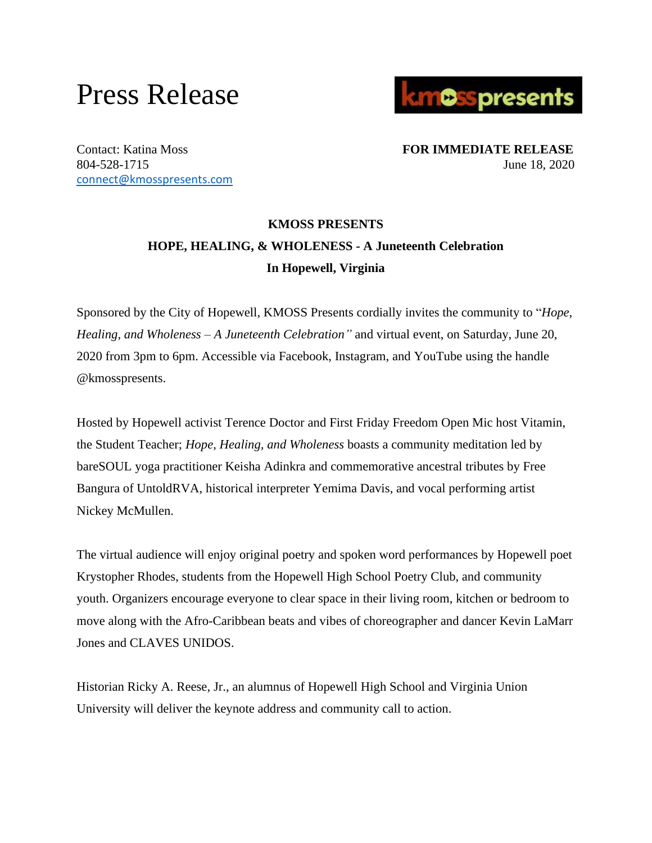## Press Release



[connect@kmosspresents.com](mailto:connect@kmosspresents.com)

Contact: Katina Moss **FOR IMMEDIATE RELEASE** 804-528-1715 June 18, 2020

## **KMOSS PRESENTS HOPE, HEALING, & WHOLENESS - A Juneteenth Celebration In Hopewell, Virginia**

Sponsored by the City of Hopewell, KMOSS Presents cordially invites the community to "*Hope, Healing, and Wholeness – A Juneteenth Celebration"* and virtual event, on Saturday, June 20, 2020 from 3pm to 6pm. Accessible via Facebook, Instagram, and YouTube using the handle @kmosspresents.

Hosted by Hopewell activist Terence Doctor and First Friday Freedom Open Mic host Vitamin, the Student Teacher; *Hope, Healing, and Wholeness* boasts a community meditation led by bareSOUL yoga practitioner Keisha Adinkra and commemorative ancestral tributes by Free Bangura of UntoldRVA, historical interpreter Yemima Davis, and vocal performing artist Nickey McMullen.

The virtual audience will enjoy original poetry and spoken word performances by Hopewell poet Krystopher Rhodes, students from the Hopewell High School Poetry Club, and community youth. Organizers encourage everyone to clear space in their living room, kitchen or bedroom to move along with the Afro-Caribbean beats and vibes of choreographer and dancer Kevin LaMarr Jones and CLAVES UNIDOS.

Historian Ricky A. Reese, Jr., an alumnus of Hopewell High School and Virginia Union University will deliver the keynote address and community call to action.